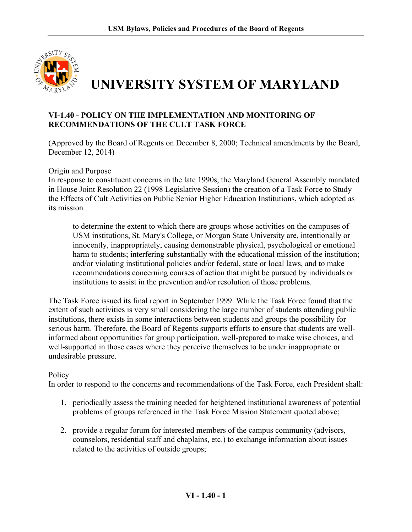

## **VI-1.40 - POLICY ON THE IMPLEMENTATION AND MONITORING OF RECOMMENDATIONS OF THE CULT TASK FORCE**

(Approved by the Board of Regents on December 8, 2000; Technical amendments by the Board, December 12, 2014)

Origin and Purpose

In response to constituent concerns in the late 1990s, the Maryland General Assembly mandated in House Joint Resolution 22 (1998 Legislative Session) the creation of a Task Force to Study the Effects of Cult Activities on Public Senior Higher Education Institutions, which adopted as its mission

to determine the extent to which there are groups whose activities on the campuses of USM institutions, St. Mary's College, or Morgan State University are, intentionally or innocently, inappropriately, causing demonstrable physical, psychological or emotional harm to students; interfering substantially with the educational mission of the institution; and/or violating institutional policies and/or federal, state or local laws, and to make recommendations concerning courses of action that might be pursued by individuals or institutions to assist in the prevention and/or resolution of those problems.

 The Task Force issued its final report in September 1999. While the Task Force found that the extent of such activities is very small considering the large number of students attending public institutions, there exists in some interactions between students and groups the possibility for serious harm. Therefore, the Board of Regents supports efforts to ensure that students are wellinformed about opportunities for group participation, well-prepared to make wise choices, and well-supported in those cases where they perceive themselves to be under inappropriate or undesirable pressure.

## **Policy**

In order to respond to the concerns and recommendations of the Task Force, each President shall:

- 1. periodically assess the training needed for heightened institutional awareness of potential problems of groups referenced in the Task Force Mission Statement quoted above;
- 2. provide a regular forum for interested members of the campus community (advisors, counselors, residential staff and chaplains, etc.) to exchange information about issues related to the activities of outside groups;